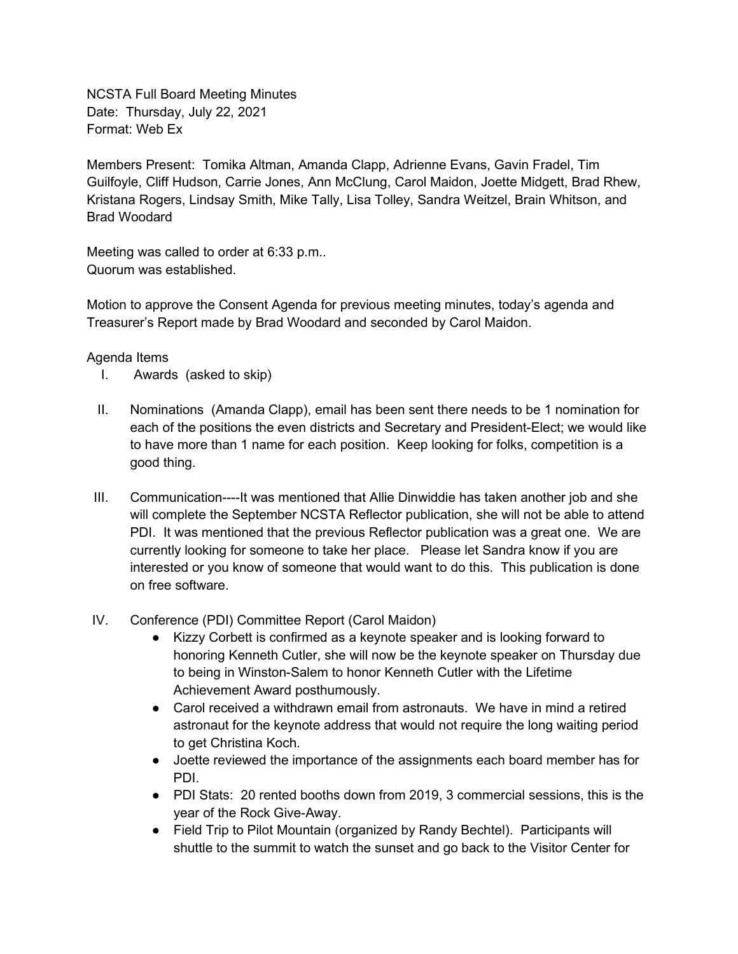NCSTA Full Board Meeting Minutes Date: Thursday, July 22, 2021 Format: Web Ex

Members Present: Tomika Altman, Amanda Clapp, Adrienne Evans, Gavin Fradel, Tim Guilfoyle, Cliff Hudson, Carrie Jones, Ann McClung, Carol Maidon, Joette Midgett, Brad Rhew, Kristana Rogers, Lindsay Smith, Mike Tally, Lisa Tolley, Sandra Weitzel, Brain Whitson, and Brad Woodard

Meeting was called to order at 6:33 p.m.. Quorum was established.

Motion to approve the Consent Agenda for previous meeting minutes, today's agenda and Treasurer's Report made by Brad Woodard and seconded by Carol Maidon.

## Agenda Items

- I. Awards (asked to skip)
- II. Nominations (Amanda Clapp), email has been sent there needs to be 1 nomination for each of the positions the even districts and Secretary and President-Elect; we would like to have more than 1 name for each position. Keep looking for folks, competition is a good thing.
- III. Communication----It was mentioned that Allie Dinwiddie has taken another job and she will complete the September NCSTA Reflector publication, she will not be able to attend PDI. It was mentioned that the previous Reflector publication was a great one. We are currently looking for someone to take her place. Please let Sandra know if you are interested or you know of someone that would want to do this. This publication is done on free software.
- IV. Conference (PDI) Committee Report (Carol Maidon)
	- Kizzy Corbett is confirmed as a keynote speaker and is looking forward to honoring Kenneth Cutler, she will now be the keynote speaker on Thursday due to being in Winston-Salem to honor Kenneth Cutler with the Lifetime Achievement Award posthumously.
	- Carol received a withdrawn email from astronauts. We have in mind a retired astronaut for the keynote address that would not require the long waiting period to get Christina Koch.
	- Joette reviewed the importance of the assignments each board member has for PDI.
	- PDI Stats: 20 rented booths down from 2019, 3 commercial sessions, this is the year of the Rock Give-Away.
	- Field Trip to Pilot Mountain (organized by Randy Bechtel). Participants will shuttle to the summit to watch the sunset and go back to the Visitor Center for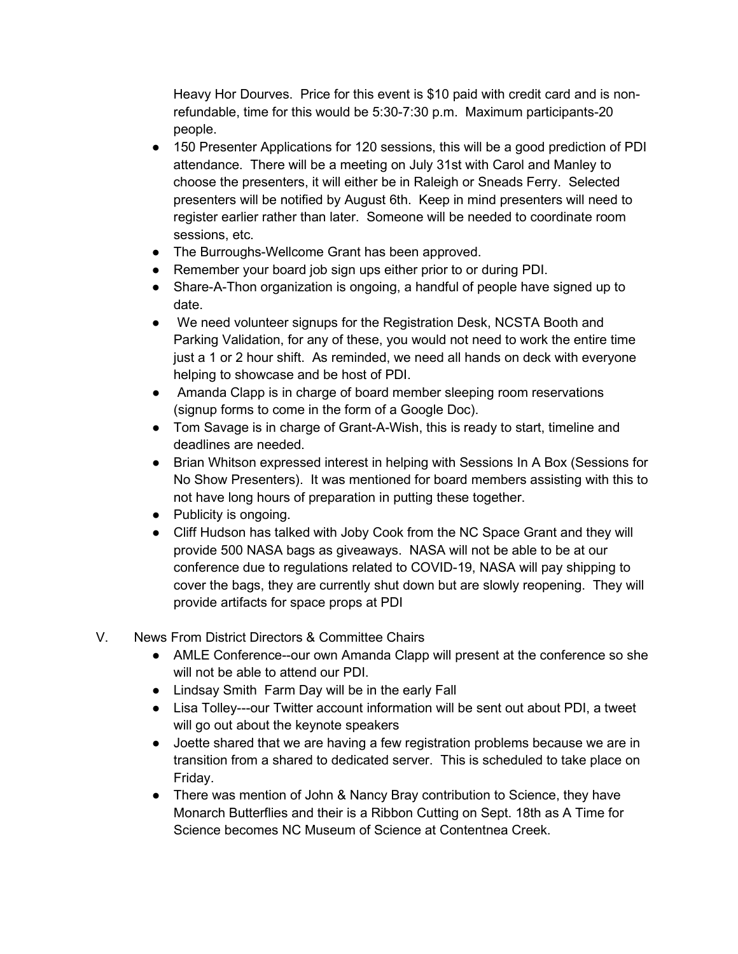Heavy Hor Dourves. Price for this event is \$10 paid with credit card and is nonrefundable, time for this would be 5:30-7:30 p.m. Maximum participants-20 people.

- 150 Presenter Applications for 120 sessions, this will be a good prediction of PDI attendance. There will be a meeting on July 31st with Carol and Manley to choose the presenters, it will either be in Raleigh or Sneads Ferry. Selected presenters will be notified by August 6th. Keep in mind presenters will need to register earlier rather than later. Someone will be needed to coordinate room sessions, etc.
- The Burroughs-Wellcome Grant has been approved.
- Remember your board job sign ups either prior to or during PDI.
- Share-A-Thon organization is ongoing, a handful of people have signed up to date.
- We need volunteer signups for the Registration Desk, NCSTA Booth and Parking Validation, for any of these, you would not need to work the entire time just a 1 or 2 hour shift. As reminded, we need all hands on deck with everyone helping to showcase and be host of PDI.
- Amanda Clapp is in charge of board member sleeping room reservations (signup forms to come in the form of a Google Doc).
- Tom Savage is in charge of Grant-A-Wish, this is ready to start, timeline and deadlines are needed.
- Brian Whitson expressed interest in helping with Sessions In A Box (Sessions for No Show Presenters). It was mentioned for board members assisting with this to not have long hours of preparation in putting these together.
- Publicity is ongoing.
- Cliff Hudson has talked with Joby Cook from the NC Space Grant and they will provide 500 NASA bags as giveaways. NASA will not be able to be at our conference due to regulations related to COVID-19, NASA will pay shipping to cover the bags, they are currently shut down but are slowly reopening. They will provide artifacts for space props at PDI
- V. News From District Directors & Committee Chairs
	- AMLE Conference--our own Amanda Clapp will present at the conference so she will not be able to attend our PDI.
	- Lindsay Smith Farm Day will be in the early Fall
	- Lisa Tolley---our Twitter account information will be sent out about PDI, a tweet will go out about the keynote speakers
	- Joette shared that we are having a few registration problems because we are in transition from a shared to dedicated server. This is scheduled to take place on Friday.
	- There was mention of John & Nancy Bray contribution to Science, they have Monarch Butterflies and their is a Ribbon Cutting on Sept. 18th as A Time for Science becomes NC Museum of Science at Contentnea Creek.